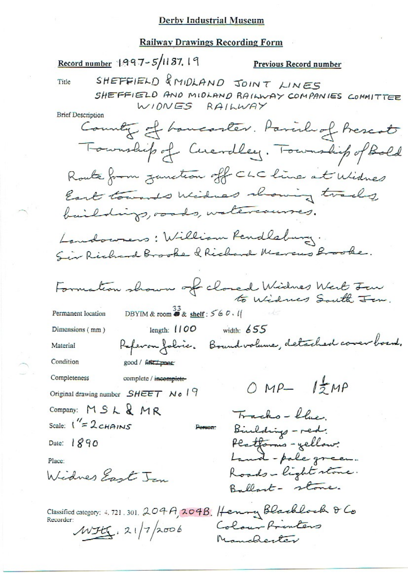#### **Railway Drawings Recording Form**

Record number 1997-5/1137.19 Previous Record number SHEFFIELD & MIDLAND JOINT LINES Title SHEFFIELD AND MIDLAND RAILWAY COMPANIES COMMITTEE WIDNES RAILWAY **Brief Description** County of homeonter. Parish of Prescot Township of Cuevalley. Township of Bold Route from junction off CLC line at Widnes East towards Widnes showing tracks baildings, roods, watercourses. Landowners: William Rendlaburg. Sir Richard Brooke & Richard Marcus Brooke. Formation shown of closed Widnes West Form. DBYIM & room  $\overset{33}{\bullet}$  & shelf : 560.11 Permanent location width:  $655$ length:  $1100$ Dimensions (mm) Referan folice. Boundvolume, detached caver board. Material Condition good / febr t pose Completeness complete / incomplete- $OMP-1ZMP$ Original drawing number SHEET No 19 Company: MSL&MR Tracks-blue. Scale:  $1^{\prime\prime} = 2c$ HAINS Binlding - red. **Person** Platforms - yellow: Date: 1890 Land-pole green. Place: Roads-light stone. Widnes East In Ballart- stone. Classified category: 4, 721.301. 204A, 204B. Henry Blacklock & Co Recorder: Colour Printers  $WH$ . 21/7/2006 Manchester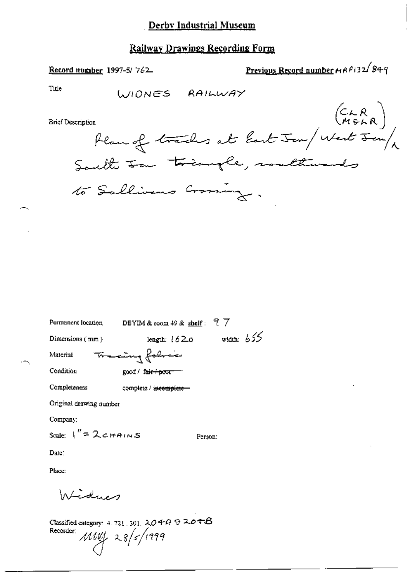### Railway Drawings Recording Form

Previous Record number MAP132/849

Title WONES RAILWAY  $\begin{pmatrix} C & R \\ M & R \end{pmatrix}$ **Brief Description** Plan of tracks at last Jen/ West Jen/ to Sullivans Crassing. Permanent location DBYIM & room 49 & shelf: 97 width:  $655$ Dimensions (mm) length:  $1620$ Francing folice Material Condition good / fair+poor Completeness complete / incomplete-Original drawing number Company: Scale:  $1'' = 2c$ HAINS

Person:

Date:

Place:

Interdues

Record number 1997-5/762

Classified category: 4, 721, 301,  $204A9226AB$ Recorder:  $MW\left|28\right|5/1999$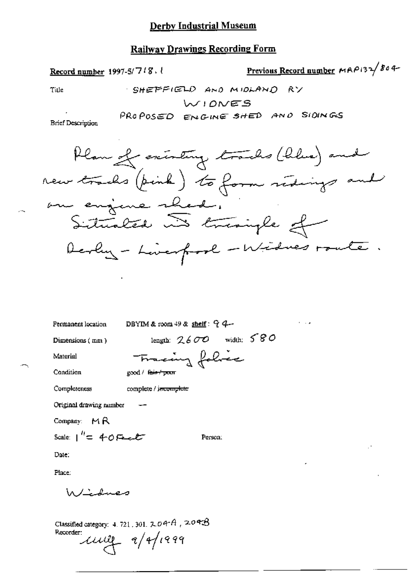#### **Railway Drawings Recording Form**

Previous Record number MAP132/804-Record number  $1997-5/718$ . SHEPFIELD AND MIDLAND RY

WIONES

PROPOSED ENGINE SHED AND SIDINGS

**Brief Description** 

Title



length:  $2600$  width:  $580$ 

Person:

Permanent location

DBYIM & room 49 & shelf:  $94-$ 

Dimensions (mm)

Material

Tracing folice good / fair-/ poor

Condition

Completeness complete / j<del>acomplete</del>

Original drawing number

Company: MR

Scale:  $1'' = 40$ Fance

Date:

Place:

Windmes

Classified category: 4, 721, 301,  $2.04A$ ,  $2.04B$ Recorder  $\mu$  $\mu$   $\alpha$   $\frac{1}{4}$   $\frac{1}{4}$   $\frac{1}{4}$   $\frac{1}{4}$   $\frac{1}{4}$   $\frac{1}{4}$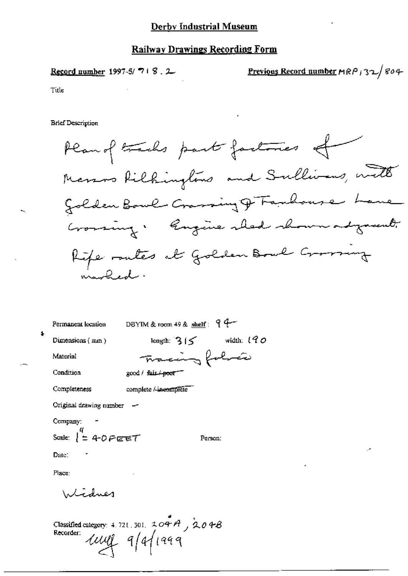### Railway Drawings Recording Form

Previous Record number  $MRP$  32/804 Record number 1997-5/718.2 Title

**Brief Description** 

DBYIM & room 49 & shelf:  $94-$ Permanent location  $\ddagger$ length:  $315$  width:  $190$ Dimensions (mm) Tracing folia Material Condition good / fair / poor --Completeness complete / incomplete Original drawing number -Company: Scale:  $\begin{pmatrix} 4 \\ 2 \\ 4 \end{pmatrix}$  + 0  $\vec{r}$  exact Person: Date: Place: Windner

Classified category: 4.721.301. 204A, 204B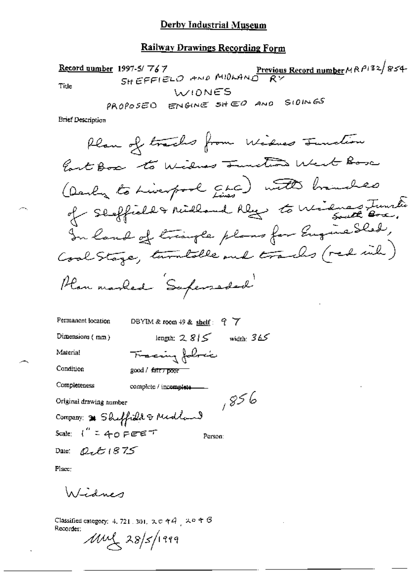## Railway Drawings Recording Form

1997-5/767<br>SHEFFIELO AND MIDLAND RY Record number 1997-5/767 Title WIDNES

**Brief Description** 

 $\sim$ 

| Permanent location                       | DBYIM & room 49 & shelf: $97$  |  |
|------------------------------------------|--------------------------------|--|
| Dimensions (mm)                          | length: $2815$<br>width: $365$ |  |
| Material                                 | Tracing follows                |  |
| Condition                                | good / fair <del>, poor</del>  |  |
| Completeness                             | complete / incomplete.         |  |
| Original drawing number                  | 6 28 ر                         |  |
| Company: * Sheffield & Midland           |                                |  |
| Scale: $1'' = 40$ PEET                   | Person:                        |  |
| Date: $\mathcal{Q}_t$ $\mathcal{L}$ 1875 |                                |  |

Place:

Widnes

Classified category: 4, 721, 301,  $\infty$  e  $\in$   $A^+$   $\sim$  e  $\in$   $G$ Recorder:

 $1001/28$ /1999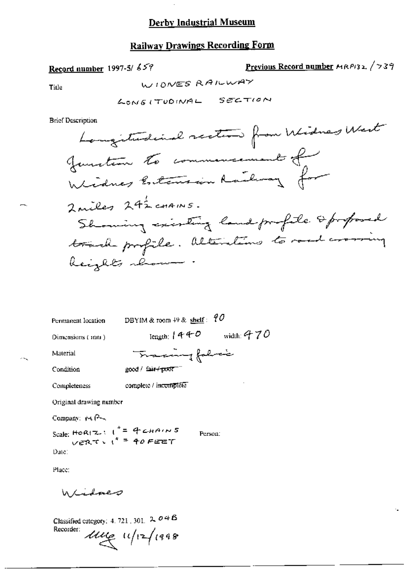$\cdot$ 

# **Railway Drawings Recording Form**

 $\blacksquare$ 

## Record number 1997-5/659

Previous Record number 
$$
MP132
$$
,  $739$ 

 $\mathcal{L}$ 

Title

**Brief Description** 

| Permanent location                                      | DBYIM & room $49$ & shelf: $9$ |              |
|---------------------------------------------------------|--------------------------------|--------------|
| Dimensions (mm)                                         | length: $440$                  | width: $470$ |
| Material                                                | Tracing folio                  |              |
| Condition                                               | good / fair+poor <sup>-"</sup> |              |
| Completeness                                            | complete / incomplete          |              |
| Original drawing number                                 |                                |              |
| Company: $\forall A$                                    |                                |              |
| Scale: HORIZ: $1^* = 4$ CHAINS<br>VERT: $1^* = 40$ FEET | Person:                        |              |

Place:

Date:

Lidover W

Classified category: 4, 721, 301,  $2, 04B$ Recorder:  $\mu$   $\mu$   $\left| \frac{1}{2} \right|$   $(998)$